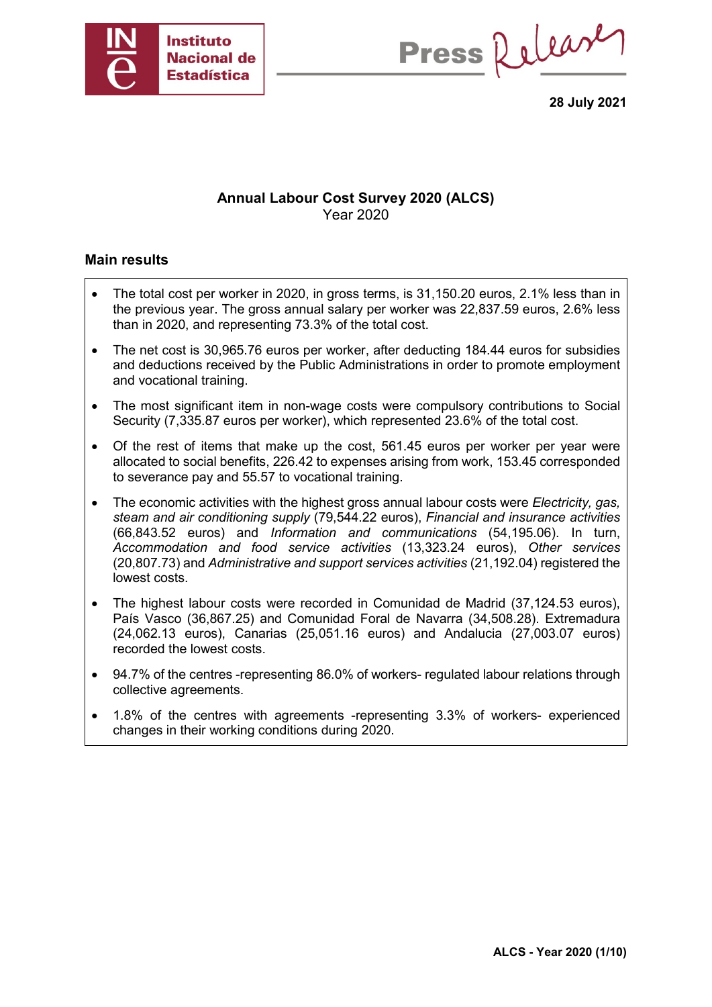

Press Release

**28 July 2021**

## **Annual Labour Cost Survey 2020 (ALCS)** Year 2020

### **Main results**

- The total cost per worker in 2020, in gross terms, is 31,150.20 euros, 2.1% less than in the previous year. The gross annual salary per worker was 22,837.59 euros, 2.6% less than in 2020, and representing 73.3% of the total cost.
- The net cost is 30,965.76 euros per worker, after deducting 184.44 euros for subsidies and deductions received by the Public Administrations in order to promote employment and vocational training.
- The most significant item in non-wage costs were compulsory contributions to Social Security (7,335.87 euros per worker), which represented 23.6% of the total cost.
- Of the rest of items that make up the cost, 561.45 euros per worker per year were allocated to social benefits, 226.42 to expenses arising from work, 153.45 corresponded to severance pay and 55.57 to vocational training.
- The economic activities with the highest gross annual labour costs were *Electricity, gas, steam and air conditioning supply* (79,544.22 euros), *Financial and insurance activities* (66,843.52 euros) and *Information and communications* (54,195.06). In turn, *Accommodation and food service activities* (13,323.24 euros), *Other services* (20,807.73) and *Administrative and support services activities* (21,192.04) registered the lowest costs.
- The highest labour costs were recorded in Comunidad de Madrid (37,124.53 euros), País Vasco (36,867.25) and Comunidad Foral de Navarra (34,508.28). Extremadura (24,062.13 euros), Canarias (25,051.16 euros) and Andalucia (27,003.07 euros) recorded the lowest costs.
- 94.7% of the centres -representing 86.0% of workers- regulated labour relations through collective agreements.
- 1.8% of the centres with agreements -representing 3.3% of workers- experienced changes in their working conditions during 2020.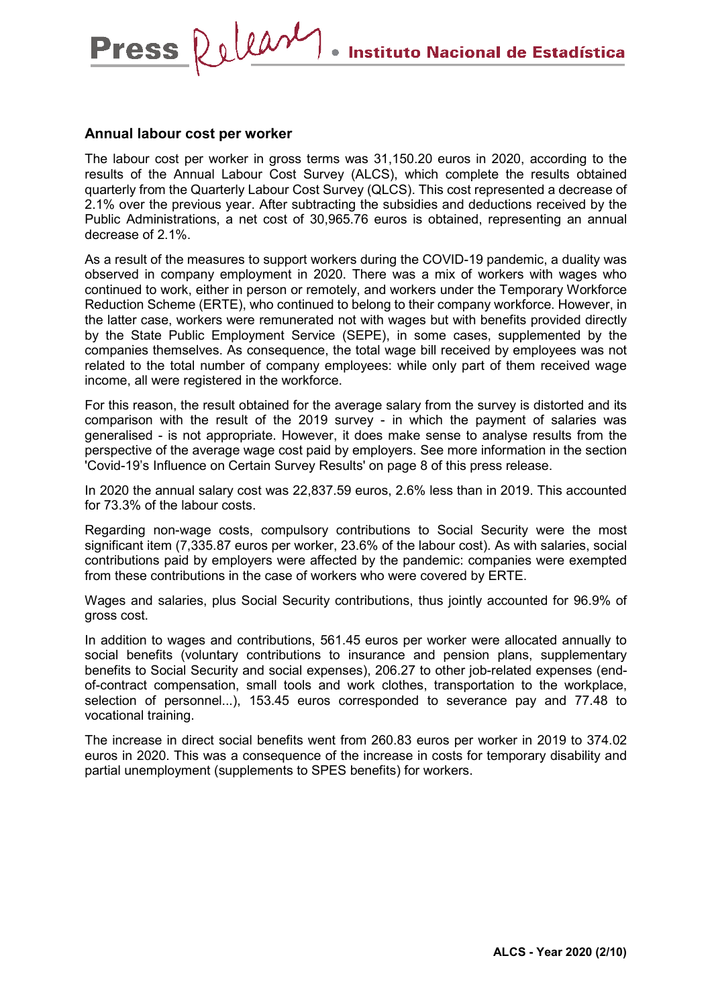### **Annual labour cost per worker**

Press Release

The labour cost per worker in gross terms was 31,150.20 euros in 2020, according to the results of the Annual Labour Cost Survey (ALCS), which complete the results obtained quarterly from the Quarterly Labour Cost Survey (QLCS). This cost represented a decrease of 2.1% over the previous year. After subtracting the subsidies and deductions received by the Public Administrations, a net cost of 30,965.76 euros is obtained, representing an annual decrease of 2.1%.

As a result of the measures to support workers during the COVID-19 pandemic, a duality was observed in company employment in 2020. There was a mix of workers with wages who continued to work, either in person or remotely, and workers under the Temporary Workforce Reduction Scheme (ERTE), who continued to belong to their company workforce. However, in the latter case, workers were remunerated not with wages but with benefits provided directly by the State Public Employment Service (SEPE), in some cases, supplemented by the companies themselves. As consequence, the total wage bill received by employees was not related to the total number of company employees: while only part of them received wage income, all were registered in the workforce.

For this reason, the result obtained for the average salary from the survey is distorted and its comparison with the result of the 2019 survey - in which the payment of salaries was generalised - is not appropriate. However, it does make sense to analyse results from the perspective of the average wage cost paid by employers. See more information in the section 'Covid-19's Influence on Certain Survey Results' on page 8 of this press release.

In 2020 the annual salary cost was 22,837.59 euros, 2.6% less than in 2019. This accounted for 73.3% of the labour costs.

Regarding non-wage costs, compulsory contributions to Social Security were the most significant item (7,335.87 euros per worker, 23.6% of the labour cost). As with salaries, social contributions paid by employers were affected by the pandemic: companies were exempted from these contributions in the case of workers who were covered by ERTE.

Wages and salaries, plus Social Security contributions, thus jointly accounted for 96.9% of gross cost.

In addition to wages and contributions, 561.45 euros per worker were allocated annually to social benefits (voluntary contributions to insurance and pension plans, supplementary benefits to Social Security and social expenses), 206.27 to other job-related expenses (endof-contract compensation, small tools and work clothes, transportation to the workplace, selection of personnel...), 153.45 euros corresponded to severance pay and 77.48 to vocational training.

The increase in direct social benefits went from 260.83 euros per worker in 2019 to 374.02 euros in 2020. This was a consequence of the increase in costs for temporary disability and partial unemployment (supplements to SPES benefits) for workers.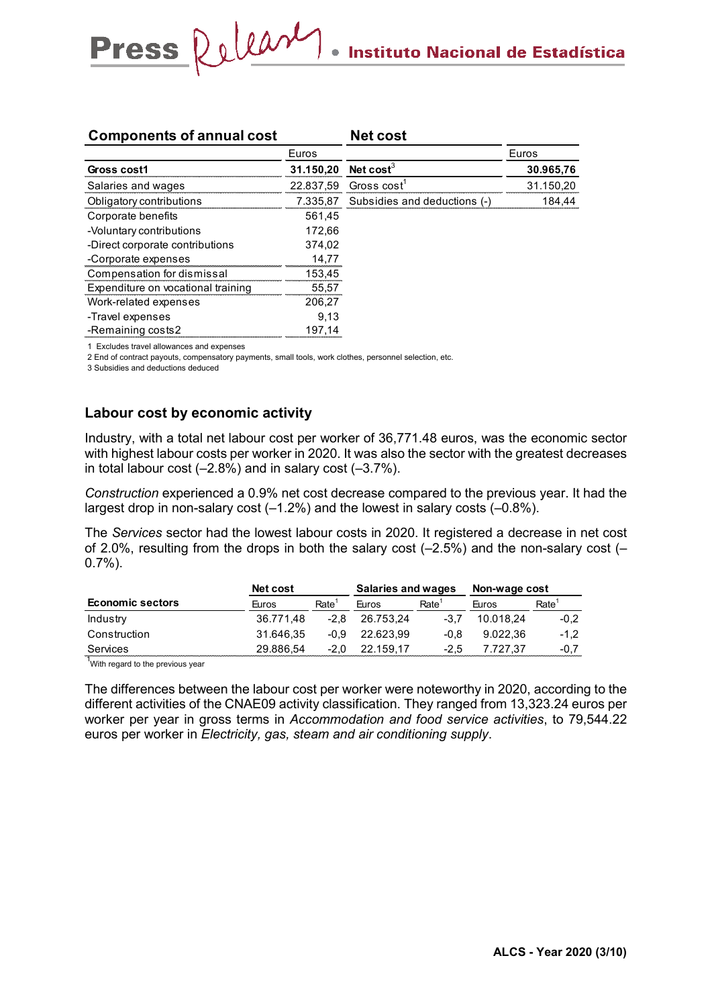| <b>Components of annual cost</b>   |           | <b>Net cost</b>              |           |
|------------------------------------|-----------|------------------------------|-----------|
|                                    | Euros     |                              | Euros     |
| Gross cost1                        | 31.150,20 | Net cost <sup>3</sup>        | 30.965,76 |
| Salaries and wages                 | 22.837,59 | Gross cost                   | 31.150,20 |
| Obligatory contributions           | 7.335,87  | Subsidies and deductions (-) | 184,44    |
| Corporate benefits                 | 561,45    |                              |           |
| -Voluntary contributions           | 172,66    |                              |           |
| -Direct corporate contributions    | 374.02    |                              |           |
| -Corporate expenses                | 14,77     |                              |           |
| Compensation for dismissal         | 153,45    |                              |           |
| Expenditure on vocational training | 55,57     |                              |           |
| Work-related expenses              | 206,27    |                              |           |
| -Travel expenses                   | 9.13      |                              |           |
| -Remaining costs2                  | 197,14    |                              |           |

1 Excludes travel allowances and expenses

2 End of contract payouts, compensatory payments, small tools, work clothes, personnel selection, etc.

3 Subsidies and deductions deduced

### **Labour cost by economic activity**

Press Release

Industry, with a total net labour cost per worker of 36,771.48 euros, was the economic sector with highest labour costs per worker in 2020. It was also the sector with the greatest decreases in total labour cost  $(-2.8%)$  and in salary cost  $(-3.7%)$ .

*Construction* experienced a 0.9% net cost decrease compared to the previous year. It had the largest drop in non-salary cost  $(-1.2\%)$  and the lowest in salary costs  $(-0.8\%)$ .

The *Services* sector had the lowest labour costs in 2020. It registered a decrease in net cost of 2.0%, resulting from the drops in both the salary cost (–2.5%) and the non-salary cost (– 0.7%).

|                         | <b>Net cost</b> |        |              | Salaries and wages | Non-wage cost |        |
|-------------------------|-----------------|--------|--------------|--------------------|---------------|--------|
| <b>Economic sectors</b> | Furos           | Rate   | <b>Furos</b> | Rate               | <b>Huros</b>  | Rate   |
| Industry                | 36.771.48       | $-2.8$ | 26.753.24    |                    | 10.018.24     | $-0.2$ |
| Construction            | 31.646.35       | -0.9   | 22.623.99    | -0.8               | 9.022.36      | $-1.2$ |
| Services                | 29.886.54       | -2.0   | 22.159.17    | -2.5               | 7.727.37      | $-0.7$ |
|                         |                 |        |              |                    |               |        |

 $1$ With regard to the previous year

The differences between the labour cost per worker were noteworthy in 2020, according to the different activities of the CNAE09 activity classification. They ranged from 13,323.24 euros per worker per year in gross terms in *Accommodation and food service activities*, to 79,544.22 euros per worker in *Electricity, gas, steam and air conditioning supply*.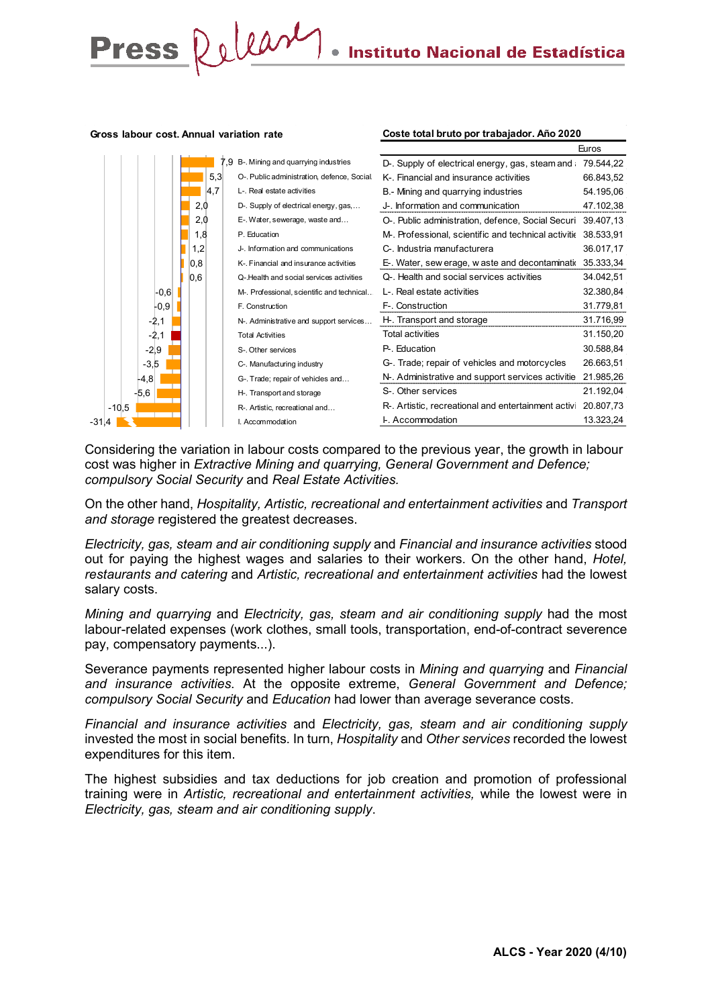**Coste total bruto por trabajador. Año 2020**

#### **Gross labour cost. Annual variation rate**

Press Release



Considering the variation in labour costs compared to the previous year, the growth in labour cost was higher in *Extractive Mining and quarrying, General Government and Defence; compulsory Social Security* and *Real Estate Activities.*

On the other hand, *Hospitality, Artistic, recreational and entertainment activities* and *Transport and storage* registered the greatest decreases.

*Electricity, gas, steam and air conditioning supply* and *Financial and insurance activities* stood out for paying the highest wages and salaries to their workers. On the other hand, *Hotel, restaurants and catering* and *Artistic, recreational and entertainment activities* had the lowest salary costs.

*Mining and quarrying* and *Electricity, gas, steam and air conditioning supply* had the most labour-related expenses (work clothes, small tools, transportation, end-of-contract severence pay, compensatory payments...).

Severance payments represented higher labour costs in *Mining and quarrying* and *Financial and insurance activities*. At the opposite extreme, *General Government and Defence; compulsory Social Security* and *Education* had lower than average severance costs.

*Financial and insurance activities* and *Electricity, gas, steam and air conditioning supply* invested the most in social benefits. In turn, *Hospitality* and *Other services* recorded the lowest expenditures for this item.

The highest subsidies and tax deductions for job creation and promotion of professional training were in *Artistic, recreational and entertainment activities,* while the lowest were in *Electricity, gas, steam and air conditioning supply*.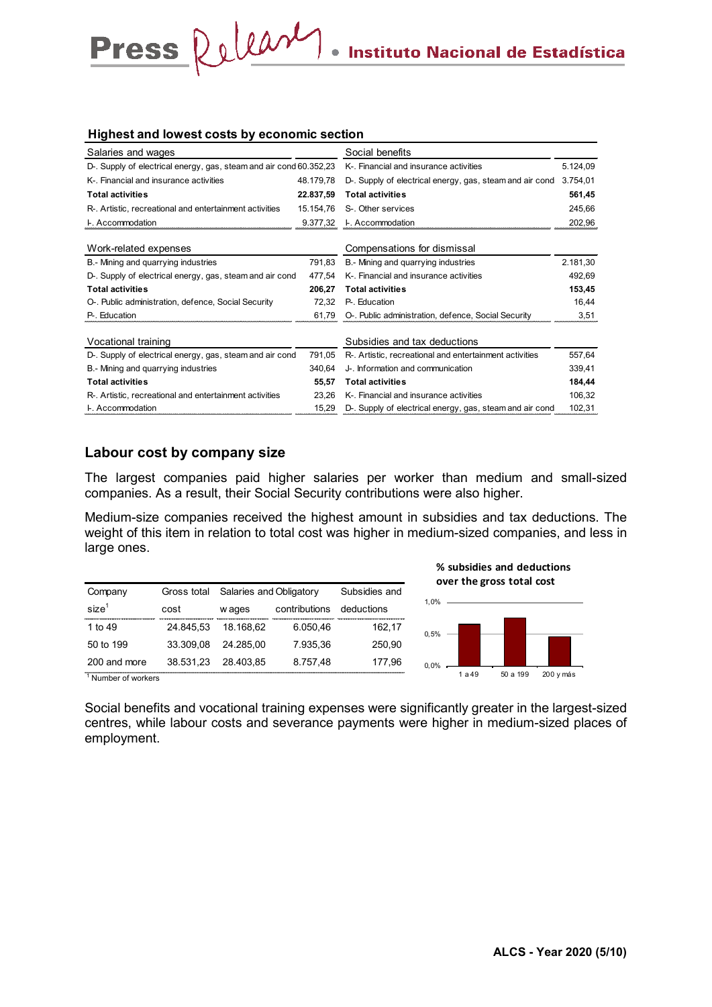### **Highest and lowest costs by economic section**

Press Release

| Salaries and wages                                                 |           | Social benefits                                          |          |
|--------------------------------------------------------------------|-----------|----------------------------------------------------------|----------|
| D-. Supply of electrical energy, gas, steam and air cond 60.352,23 |           | K-. Financial and insurance activities                   | 5.124,09 |
| K-. Financial and insurance activities                             | 48.179,78 | D-. Supply of electrical energy, gas, steam and air cond | 3.754,01 |
| <b>Total activities</b>                                            | 22.837,59 | <b>Total activities</b>                                  | 561,45   |
| R-. Artistic, recreational and entertainment activities            | 15.154.76 | S-. Other services                                       | 245,66   |
| <b>L.</b> Accommodation                                            | 9.377,32  | <b>L.</b> Accommodation                                  | 202,96   |
| Work-related expenses                                              |           | Compensations for dismissal                              |          |
| B.- Mining and guarrying industries                                | 791.83    | B.- Mining and quarrying industries                      | 2.181,30 |
| D-. Supply of electrical energy, gas, steam and air cond           | 477.54    | K-. Financial and insurance activities                   | 492,69   |
| <b>Total activities</b>                                            | 206,27    | <b>Total activities</b>                                  | 153,45   |
| O-. Public administration, defence, Social Security                | 72,32     | P- Education                                             | 16,44    |
| P-. Education                                                      | 61,79     | O-. Public administration, defence, Social Security      | 3,51     |
| Vocational training                                                |           | Subsidies and tax deductions                             |          |
| D-. Supply of electrical energy, gas, steam and air cond           | 791,05    | R-. Artistic, recreational and entertainment activities  | 557,64   |
| B.- Mining and quarrying industries                                | 340,64    | J-. Information and communication                        | 339,41   |
| <b>Total activities</b>                                            | 55,57     | <b>Total activities</b>                                  | 184,44   |
| R-. Artistic, recreational and entertainment activities            | 23,26     | K-. Financial and insurance activities                   | 106,32   |
| <b>L.</b> Accommodation                                            | 15,29     | D-. Supply of electrical energy, gas, steam and air cond | 102,31   |

### **Labour cost by company size**

The largest companies paid higher salaries per worker than medium and small-sized companies. As a result, their Social Security contributions were also higher.

Medium-size companies received the highest amount in subsidies and tax deductions. The weight of this item in relation to total cost was higher in medium-sized companies, and less in large ones.

| Company           | Gross total                                | Salaries and Obligatory | Subsidies and                                      |            |
|-------------------|--------------------------------------------|-------------------------|----------------------------------------------------|------------|
| size <sup>1</sup> | cost                                       | w ages                  | contributions                                      | deductions |
| 1 to 49           | ,,,,,,,,,,,,,,,,,,,,,,,,,,,,,<br>24.845.53 | 18.168.62               | ,,,,,,,,,,,,,,,,,,,,,,,,,,,,,,,,,,,,,,<br>6.050.46 | 162,17     |
| 50 to 199         | 33.309.08                                  | 24.285.00               | 7.935.36                                           | 250.90     |
| 200 and more      | 38.531,23                                  | 28.403.85               | 8.757,48                                           | 177.96     |



1 Number of workers

Social benefits and vocational training expenses were significantly greater in the largest-sized centres, while labour costs and severance payments were higher in medium-sized places of employment.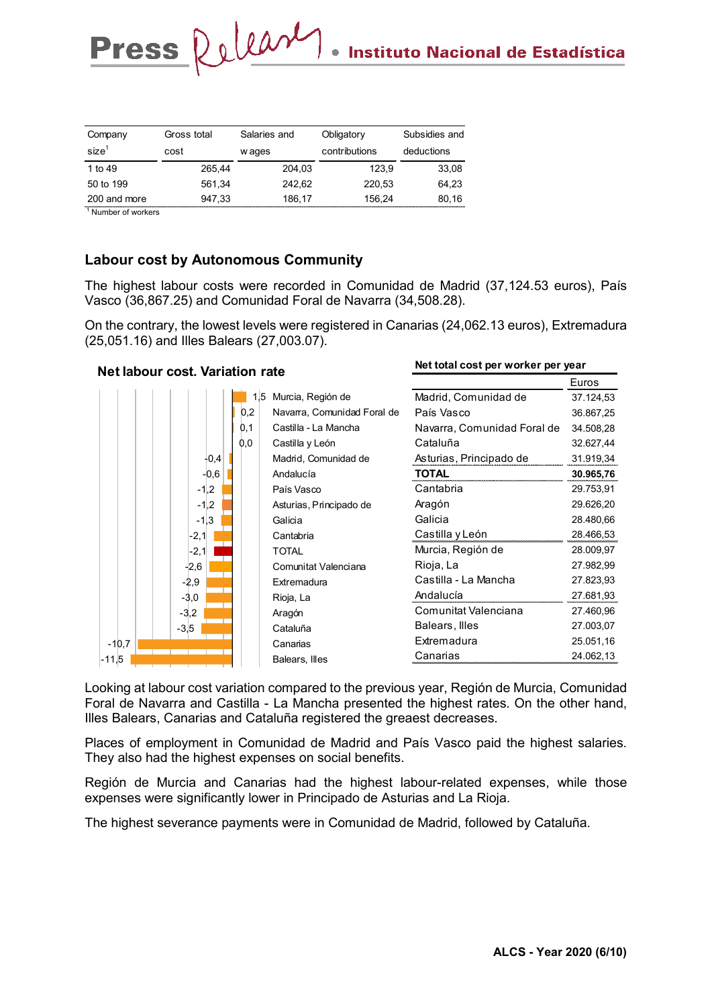**Net total cost per worker per year**

| Company           | Gross total | Salaries and | Obligatory    | Subsidies and |
|-------------------|-------------|--------------|---------------|---------------|
| size <sup>1</sup> | cost        | w ages       | contributions | deductions    |
| 1 to 49           | 265.44      | 204.03       | 123.9         | 33,08         |
| 50 to 199         | 561.34      | 242.62       | 220.53        | 64,23         |
| 200 and more      | 947,33      | 186.17       | 156.24        | 80,16         |

1 Number of workers

### **Labour cost by Autonomous Community**

Press Release

The highest labour costs were recorded in Comunidad de Madrid (37,124.53 euros), País Vasco (36,867.25) and Comunidad Foral de Navarra (34,508.28).

On the contrary, the lowest levels were registered in Canarias (24,062.13 euros), Extremadura (25,051.16) and Illes Balears (27,003.07).

#### Euros Madrid, Comunidad de 37.124,53 País Vasco 36.867,25 Navarra, Comunidad Foral de 34.508,28 Cataluña 32.627,44 Asturias, Principado de 31.919,34 **TOTAL 30.965,76** Cantabria 29.753,91 Aragón 29.626,20 Galicia 28.480,66 Castilla y León 28.466,53 Murcia, Región de 28.009,97 Rioja, La 27.982,99 Castilla - La Mancha 27.823,93 Andalucía 27.681,93 Comunitat Valenciana 27.460,96 Balears, Illes 27.003,07 Extremadura 25.051,16 **Canarias 24.062,13** -11,5 -11,5 -11,5 -11,5 -11,5 -11,5 -11,5 -11,5 -11,5 -11,5 -11,5 -11,5 -11,5 -11,5 -11,5 -1  $-10,7$ -3,5 -3,2 -3,0  $-2.9$ -2,6 -2,1 -2,1  $-1.3$  $-1,2$  $-1,2$ -0,6  $-0.4$  $0.0$  $0.1$  $0,2$ 1,5 Murcia, Región de Balears, Illes **Canarias** Cataluña Aragón Rioja, La **Extremadura** Comunitat Valenciana TOTAL Cantabria Galicia Asturias, Principado de País Vasco Andalucía Madrid, Comunidad de Castilla y León Castilla - La Mancha Navarra, Comunidad Foral de **Net labour cost. Variation rate**

Looking at labour cost variation compared to the previous year, Región de Murcia, Comunidad Foral de Navarra and Castilla - La Mancha presented the highest rates. On the other hand, Illes Balears, Canarias and Cataluña registered the greaest decreases.

Places of employment in Comunidad de Madrid and País Vasco paid the highest salaries. They also had the highest expenses on social benefits.

Región de Murcia and Canarias had the highest labour-related expenses, while those expenses were significantly lower in Principado de Asturias and La Rioja.

The highest severance payments were in Comunidad de Madrid, followed by Cataluña.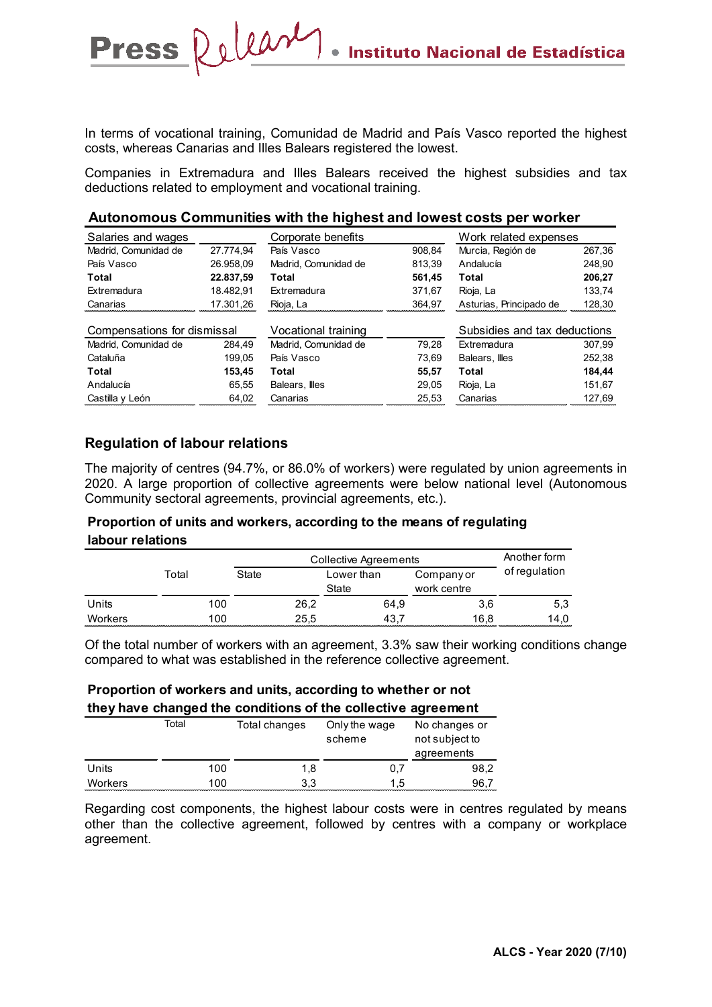In terms of vocational training, Comunidad de Madrid and País Vasco reported the highest costs, whereas Canarias and Illes Balears registered the lowest.

Companies in Extremadura and Illes Balears received the highest subsidies and tax deductions related to employment and vocational training.

|  | Autonomous Communities with the highest and lowest costs per worker |
|--|---------------------------------------------------------------------|
|--|---------------------------------------------------------------------|

| Salaries and wages          |           | Corporate benefits<br>Work related expenses |        |                              |        |
|-----------------------------|-----------|---------------------------------------------|--------|------------------------------|--------|
| Madrid, Comunidad de        | 27.774.94 | País Vasco                                  | 908.84 | Murcia, Región de            | 267,36 |
| País Vasco                  | 26.958.09 | Madrid. Comunidad de                        | 813.39 | Andalucía                    | 248.90 |
| Total                       | 22.837,59 | Total                                       | 561,45 | Total                        | 206.27 |
| Extremadura                 | 18.482.91 | Extremadura                                 | 371.67 | Rioja, La                    | 133.74 |
| Canarias                    | 17.301,26 | Rioja, La                                   | 364,97 | Asturias, Principado de      | 128,30 |
|                             |           |                                             |        |                              |        |
| Compensations for dismissal |           | Vocational training                         |        | Subsidies and tax deductions |        |
| Madrid. Comunidad de        | 284.49    | Madrid. Comunidad de                        | 79.28  | Extremadura                  | 307.99 |
| Cataluña                    | 199.05    | País Vasco                                  | 73.69  | Balears. Illes               | 252.38 |
| Total                       | 153,45    | Total                                       | 55,57  | Total                        | 184.44 |
| Andalucía                   | 65.55     | Balears, Illes                              | 29.05  | Rioja, La                    | 151.67 |
| Castilla y León             | 64,02     | Canarias                                    | 25,53  | Canarias                     | 127,69 |

### **Regulation of labour relations**

Press Release

The majority of centres (94.7%, or 86.0% of workers) were regulated by union agreements in 2020. A large proportion of collective agreements were below national level (Autonomous Community sectoral agreements, provincial agreements, etc.).

### **Proportion of units and workers, according to the means of regulating labour relations**

|         |       | Collective Agreements | Another form                                     |      |               |
|---------|-------|-----------------------|--------------------------------------------------|------|---------------|
|         | Total | State                 | Lower than<br>Company or<br>State<br>work centre |      | of regulation |
| Units   | 100   | 26,2                  | 64,9                                             | 3,6  | 5,3           |
| Workers | 100   | 25.5                  | 43.7                                             | 16.8 | 14.0          |

Of the total number of workers with an agreement, 3.3% saw their working conditions change compared to what was established in the reference collective agreement.

### **Proportion of workers and units, according to whether or not they have changed the conditions of the collective agreement**

|         | Total | Total changes | Only the wage<br>scheme | No changes or<br>not subject to<br>agreements |
|---------|-------|---------------|-------------------------|-----------------------------------------------|
| Units   | 100   | 1,8           | 0,7                     | 98,2                                          |
| Workers | 100   | 3,3           | 1.5                     | 96.7                                          |

Regarding cost components, the highest labour costs were in centres regulated by means other than the collective agreement, followed by centres with a company or workplace agreement.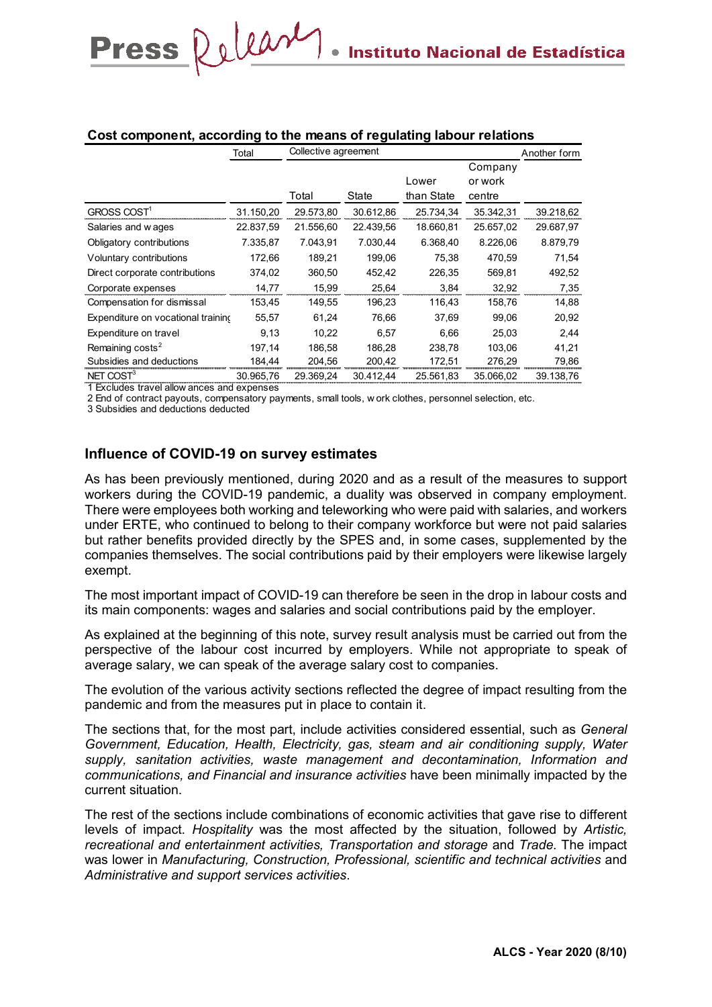|                                    | Collective agreement<br>Total |           |           |            | Another form |           |
|------------------------------------|-------------------------------|-----------|-----------|------------|--------------|-----------|
|                                    |                               |           |           |            | Company      |           |
|                                    |                               |           |           | Lower      | or work      |           |
|                                    |                               | Total     | State     | than State | centre       |           |
| GROSS COST <sup>1</sup>            | 31.150,20                     | 29.573,80 | 30.612,86 | 25.734,34  | 35.342,31    | 39.218,62 |
| Salaries and wages                 | 22.837,59                     | 21.556,60 | 22.439,56 | 18.660,81  | 25.657,02    | 29.687,97 |
| Obligatory contributions           | 7.335,87                      | 7.043,91  | 7.030,44  | 6.368,40   | 8.226,06     | 8.879,79  |
| Voluntary contributions            | 172,66                        | 189,21    | 199,06    | 75,38      | 470.59       | 71,54     |
| Direct corporate contributions     | 374,02                        | 360,50    | 452,42    | 226,35     | 569,81       | 492,52    |
| Corporate expenses                 | 14,77                         | 15,99     | 25,64     | 3,84       | 32,92        | 7,35      |
| Compensation for dismissal         | 153,45                        | 149.55    | 196,23    | 116.43     | 158,76       | 14,88     |
| Expenditure on vocational training | 55,57                         | 61,24     | 76,66     | 37,69      | 99,06        | 20,92     |
| Expenditure on travel              | 9,13                          | 10,22     | 6.57      | 6,66       | 25,03        | 2,44      |
| Remaining costs <sup>2</sup>       | 197.14                        | 186,58    | 186,28    | 238,78     | 103,06       | 41,21     |
| Subsidies and deductions           | 184,44                        | 204,56    | 200,42    | 172,51     | 276,29       | 79,86     |
| NET COST <sup>3</sup>              | 30.965,76                     | 29.369,24 | 30.412,44 | 25.561,83  | 35.066,02    | 39.138,76 |
| 1 Excludes travel allow ances and  | expenses                      |           |           |            |              |           |

### **Cost component, according to the means of regulating labour relations**

2 End of contract payouts, compensatory payments, small tools, w ork clothes, personnel selection, etc.

3 Subsidies and deductions deducted

Press Release

### **Influence of COVID-19 on survey estimates**

As has been previously mentioned, during 2020 and as a result of the measures to support workers during the COVID-19 pandemic, a duality was observed in company employment. There were employees both working and teleworking who were paid with salaries, and workers under ERTE, who continued to belong to their company workforce but were not paid salaries but rather benefits provided directly by the SPES and, in some cases, supplemented by the companies themselves. The social contributions paid by their employers were likewise largely exempt.

The most important impact of COVID-19 can therefore be seen in the drop in labour costs and its main components: wages and salaries and social contributions paid by the employer.

As explained at the beginning of this note, survey result analysis must be carried out from the perspective of the labour cost incurred by employers. While not appropriate to speak of average salary, we can speak of the average salary cost to companies.

The evolution of the various activity sections reflected the degree of impact resulting from the pandemic and from the measures put in place to contain it.

The sections that, for the most part, include activities considered essential, such as *General Government, Education, Health, Electricity, gas, steam and air conditioning supply, Water supply, sanitation activities, waste management and decontamination, Information and communications, and Financial and insurance activities* have been minimally impacted by the current situation.

The rest of the sections include combinations of economic activities that gave rise to different levels of impact. *Hospitality* was the most affected by the situation, followed by *Artistic, recreational and entertainment activities, Transportation and storage* and *Trade*. The impact was lower in *Manufacturing, Construction, Professional, scientific and technical activities* and *Administrative and support services activities*.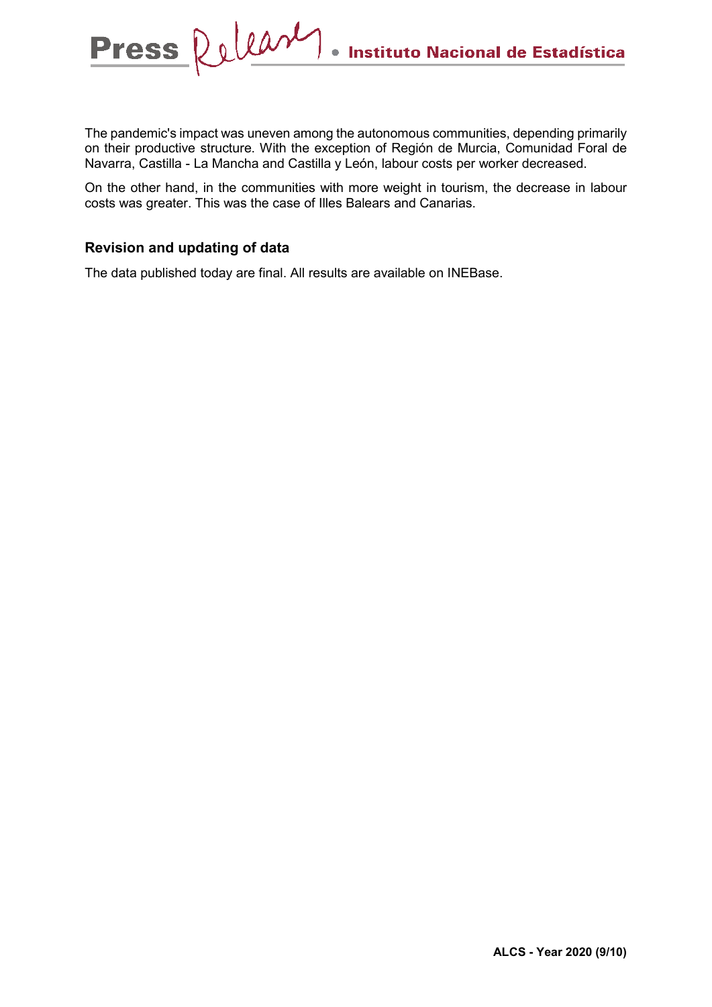The pandemic's impact was uneven among the autonomous communities, depending primarily on their productive structure. With the exception of Región de Murcia, Comunidad Foral de Navarra, Castilla - La Mancha and Castilla y León, labour costs per worker decreased.

On the other hand, in the communities with more weight in tourism, the decrease in labour costs was greater. This was the case of Illes Balears and Canarias.

### **Revision and updating of data**

Press Release

The data published today are final. All results are available on INEBase.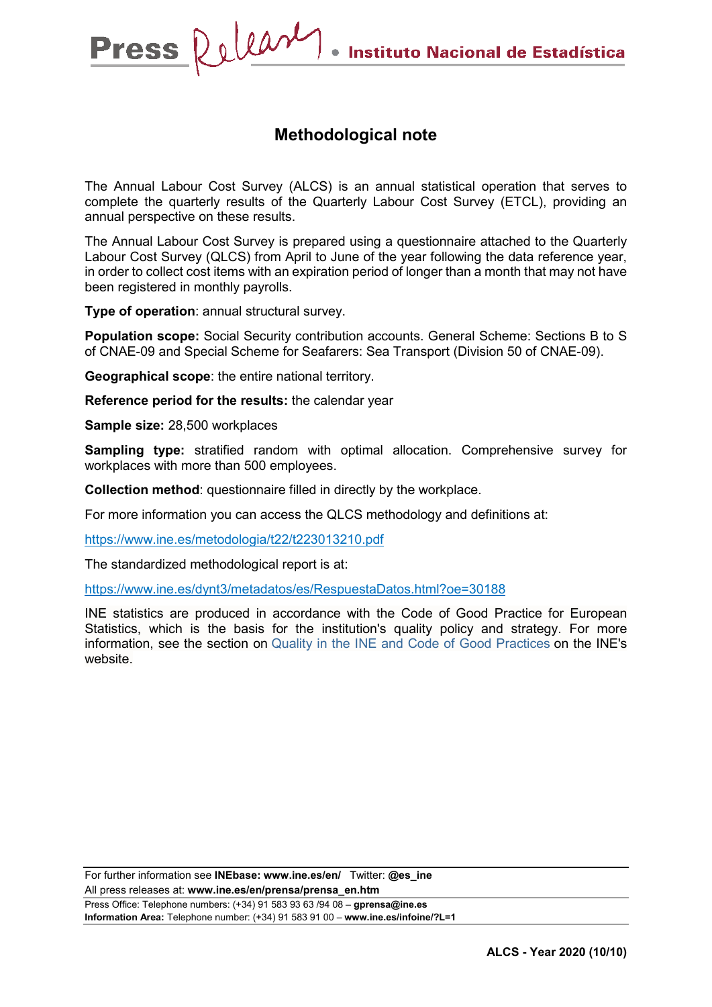# **Methodological note**

The Annual Labour Cost Survey (ALCS) is an annual statistical operation that serves to complete the quarterly results of the Quarterly Labour Cost Survey (ETCL), providing an annual perspective on these results.

The Annual Labour Cost Survey is prepared using a questionnaire attached to the Quarterly Labour Cost Survey (QLCS) from April to June of the year following the data reference year, in order to collect cost items with an expiration period of longer than a month that may not have been registered in monthly payrolls.

**Type of operation**: annual structural survey.

**Population scope:** Social Security contribution accounts. General Scheme: Sections B to S of CNAE-09 and Special Scheme for Seafarers: Sea Transport (Division 50 of CNAE-09).

**Geographical scope**: the entire national territory.

**Reference period for the results:** the calendar year

**Sample size:** 28,500 workplaces

**Sampling type:** stratified random with optimal allocation. Comprehensive survey for workplaces with more than 500 employees.

**Collection method**: questionnaire filled in directly by the workplace.

For more information you can access the QLCS methodology and definitions at:

<https://www.ine.es/metodologia/t22/t223013210.pdf>

The standardized methodological report is at:

<https://www.ine.es/dynt3/metadatos/es/RespuestaDatos.html?oe=30188>

INE statistics are produced in accordance with the Code of Good Practice for European Statistics, which is the basis for the institution's quality policy and strategy. For more information, see the section on [Quality in the INE and Code of Good Practices](https://www.ine.es/ss/Satellite?L=es_ES&c=Page&cid=1259943453642&p=1259943453642&pagename=MetodologiaYEstandares/INELayout) on the INE's website.

For further information see **INEbase: www.ine.es/en/** Twitter: **@es\_ine**

All press releases at: **www.ine.es/en/prensa/prensa\_en.htm**

Press Office: Telephone numbers: (+34) 91 583 93 63 /94 08 – **gprensa@ine.es Information Area:** Telephone number: (+34) 91 583 91 00 – **www.ine.es/infoine/?L=1**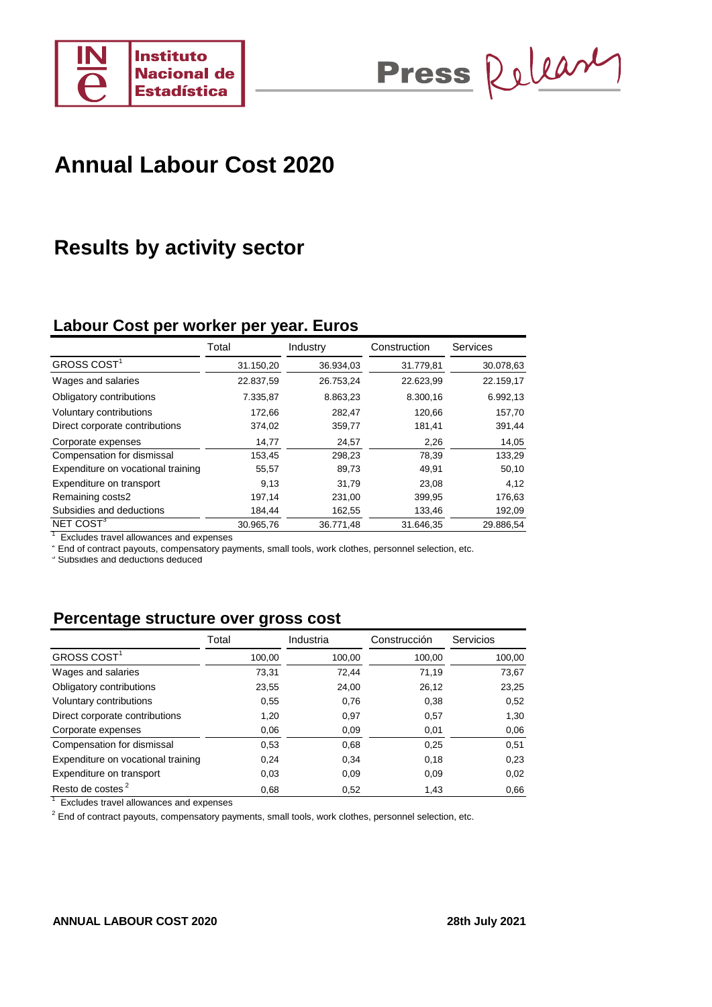



# **Results by activity sector**

# **Labour Cost per worker per year. Euros**

|                                    | Total     | Industry  | Construction | Services  |
|------------------------------------|-----------|-----------|--------------|-----------|
| GROSS COST <sup>1</sup>            | 31.150,20 | 36.934,03 | 31.779,81    | 30.078,63 |
| Wages and salaries                 | 22.837,59 | 26.753,24 | 22.623,99    | 22.159,17 |
| Obligatory contributions           | 7.335,87  | 8.863,23  | 8.300,16     | 6.992,13  |
| Voluntary contributions            | 172.66    | 282,47    | 120.66       | 157,70    |
| Direct corporate contributions     | 374,02    | 359,77    | 181,41       | 391,44    |
| Corporate expenses                 | 14,77     | 24,57     | 2,26         | 14,05     |
| Compensation for dismissal         | 153,45    | 298,23    | 78,39        | 133,29    |
| Expenditure on vocational training | 55,57     | 89,73     | 49,91        | 50,10     |
| Expenditure on transport           | 9.13      | 31.79     | 23,08        | 4,12      |
| Remaining costs2                   | 197,14    | 231,00    | 399,95       | 176,63    |
| Subsidies and deductions           | 184.44    | 162,55    | 133,46       | 192,09    |
| NET COST <sup>3</sup>              | 30.965,76 | 36.771.48 | 31.646.35    | 29.886,54 |

<sup>1</sup> Excludes travel allowances and expenses

2 End of contract payouts, compensatory payments, small tools, work clothes, personnel selection, etc.

3 Subsidies and deductions deduced

# **Percentage structure over gross cost**

|                                    | Total  | Industria | Construcción | <b>Servicios</b> |
|------------------------------------|--------|-----------|--------------|------------------|
| GROSS COST <sup>1</sup>            | 100,00 | 100,00    | 100,00       | 100,00           |
| Wages and salaries                 | 73,31  | 72.44     | 71,19        | 73,67            |
| Obligatory contributions           | 23,55  | 24,00     | 26,12        | 23,25            |
| Voluntary contributions            | 0.55   | 0,76      | 0,38         | 0,52             |
| Direct corporate contributions     | 1,20   | 0,97      | 0,57         | 1,30             |
| Corporate expenses                 | 0.06   | 0,09      | 0,01         | 0,06             |
| Compensation for dismissal         | 0.53   | 0,68      | 0,25         | 0,51             |
| Expenditure on vocational training | 0,24   | 0,34      | 0,18         | 0,23             |
| Expenditure on transport           | 0,03   | 0,09      | 0,09         | 0,02             |
| Resto de costes <sup>2</sup>       | 0,68   | 0,52      | 1,43         | 0,66             |

<sup>1</sup> Excludes travel allowances and expenses

 $2$  End of contract payouts, compensatory payments, small tools, work clothes, personnel selection, etc.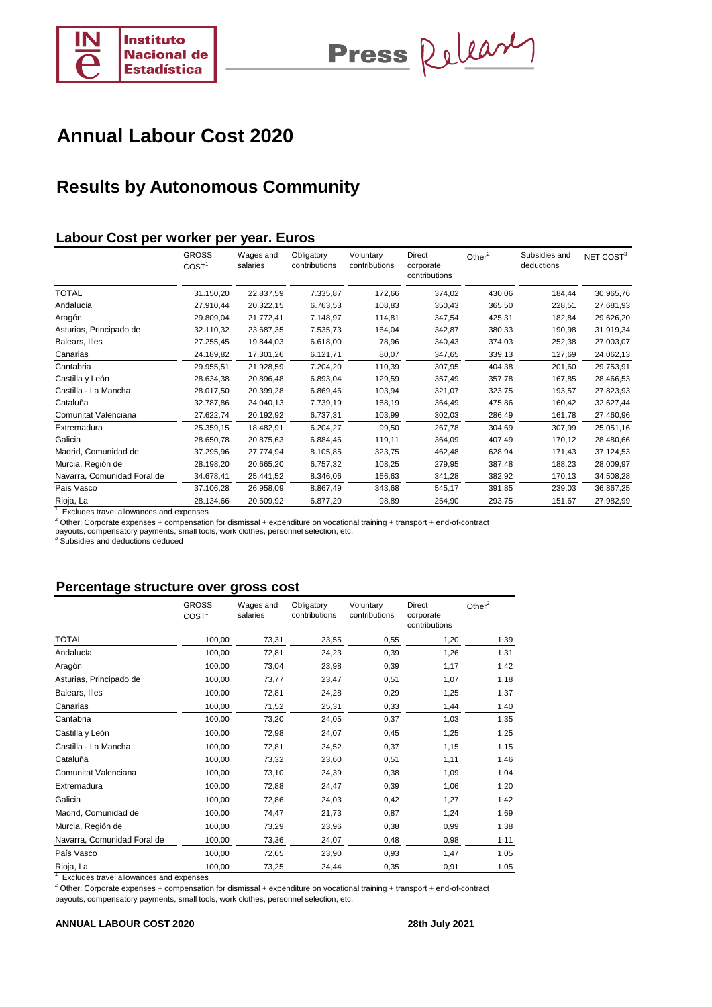

Press Release

# **Results by Autonomous Community**

### **Labour Cost per worker per year. Euros**

|                             | <b>GROSS</b><br>COST <sup>1</sup> | Wages and<br>salaries | Obligatory<br>contributions | Voluntary<br>contributions | Direct<br>corporate<br>contributions | Other $^2$ | Subsidies and<br>deductions | NET COST <sup>3</sup> |
|-----------------------------|-----------------------------------|-----------------------|-----------------------------|----------------------------|--------------------------------------|------------|-----------------------------|-----------------------|
| <b>TOTAL</b>                | 31.150,20                         | 22.837,59             | 7.335,87                    | 172,66                     | 374,02                               | 430,06     | 184,44                      | 30.965,76             |
| Andalucía                   | 27.910,44                         | 20.322,15             | 6.763,53                    | 108,83                     | 350,43                               | 365,50     | 228,51                      | 27.681,93             |
| Aragón                      | 29.809,04                         | 21.772,41             | 7.148,97                    | 114,81                     | 347,54                               | 425,31     | 182,84                      | 29.626,20             |
| Asturias, Principado de     | 32.110,32                         | 23.687,35             | 7.535,73                    | 164,04                     | 342,87                               | 380,33     | 190,98                      | 31.919,34             |
| Balears, Illes              | 27.255,45                         | 19.844,03             | 6.618,00                    | 78,96                      | 340,43                               | 374,03     | 252,38                      | 27.003,07             |
| Canarias                    | 24.189,82                         | 17.301,26             | 6.121,71                    | 80,07                      | 347,65                               | 339,13     | 127,69                      | 24.062,13             |
| Cantabria                   | 29.955,51                         | 21.928,59             | 7.204,20                    | 110,39                     | 307,95                               | 404,38     | 201,60                      | 29.753,91             |
| Castilla y León             | 28.634,38                         | 20.896,48             | 6.893,04                    | 129,59                     | 357,49                               | 357,78     | 167,85                      | 28.466,53             |
| Castilla - La Mancha        | 28.017,50                         | 20.399,28             | 6.869,46                    | 103,94                     | 321,07                               | 323,75     | 193,57                      | 27.823,93             |
| Cataluña                    | 32.787,86                         | 24.040,13             | 7.739,19                    | 168,19                     | 364,49                               | 475,86     | 160,42                      | 32.627,44             |
| Comunitat Valenciana        | 27.622,74                         | 20.192,92             | 6.737,31                    | 103,99                     | 302,03                               | 286,49     | 161,78                      | 27.460,96             |
| Extremadura                 | 25.359,15                         | 18.482,91             | 6.204,27                    | 99,50                      | 267,78                               | 304,69     | 307,99                      | 25.051,16             |
| Galicia                     | 28.650,78                         | 20.875,63             | 6.884,46                    | 119,11                     | 364,09                               | 407,49     | 170,12                      | 28.480,66             |
| Madrid, Comunidad de        | 37.295,96                         | 27.774,94             | 8.105,85                    | 323,75                     | 462,48                               | 628,94     | 171,43                      | 37.124,53             |
| Murcia, Región de           | 28.198,20                         | 20.665,20             | 6.757,32                    | 108,25                     | 279,95                               | 387,48     | 188,23                      | 28.009,97             |
| Navarra, Comunidad Foral de | 34.678,41                         | 25.441,52             | 8.346,06                    | 166,63                     | 341,28                               | 382,92     | 170,13                      | 34.508,28             |
| País Vasco                  | 37.106,28                         | 26.958,09             | 8.867,49                    | 343,68                     | 545,17                               | 391,85     | 239,03                      | 36.867,25             |
| Rioja, La                   | 28.134,66                         | 20.609,92             | 6.877,20                    | 98,89                      | 254,90                               | 293,75     | 151,67                      | 27.982,99             |

<sup>1</sup> Excludes travel allowances and expenses

<sup>2</sup> Other: Corporate expenses + compensation for dismissal + expenditure on vocational training + transport + end-of-contract<br>payouts, compensatory payments, small tools, work clothes, personnel selection, etc.<br><sup>3</sup> Subsidi

### **Percentage structure over gross cost**

|                             | <b>GROSS</b><br>COST <sup>1</sup> | Wages and<br>salaries | Obligatory<br>contributions | Voluntary<br>contributions | <b>Direct</b><br>corporate<br>contributions | Other $^2$ |
|-----------------------------|-----------------------------------|-----------------------|-----------------------------|----------------------------|---------------------------------------------|------------|
| <b>TOTAL</b>                | 100,00                            | 73,31                 | 23,55                       | 0,55                       | 1,20                                        | 1,39       |
| Andalucía                   | 100,00                            | 72,81                 | 24,23                       | 0,39                       | 1,26                                        | 1,31       |
| Aragón                      | 100,00                            | 73,04                 | 23,98                       | 0,39                       | 1,17                                        | 1,42       |
| Asturias, Principado de     | 100,00                            | 73,77                 | 23,47                       | 0,51                       | 1,07                                        | 1,18       |
| Balears, Illes              | 100,00                            | 72,81                 | 24,28                       | 0,29                       | 1,25                                        | 1,37       |
| Canarias                    | 100,00                            | 71,52                 | 25,31                       | 0,33                       | 1,44                                        | 1,40       |
| Cantabria                   | 100,00                            | 73,20                 | 24,05                       | 0,37                       | 1,03                                        | 1,35       |
| Castilla y León             | 100,00                            | 72,98                 | 24,07                       | 0,45                       | 1,25                                        | 1,25       |
| Castilla - La Mancha        | 100,00                            | 72,81                 | 24,52                       | 0,37                       | 1,15                                        | 1,15       |
| Cataluña                    | 100,00                            | 73,32                 | 23,60                       | 0,51                       | 1,11                                        | 1,46       |
| Comunitat Valenciana        | 100,00                            | 73,10                 | 24,39                       | 0,38                       | 1,09                                        | 1,04       |
| Extremadura                 | 100,00                            | 72,88                 | 24,47                       | 0,39                       | 1,06                                        | 1,20       |
| Galicia                     | 100,00                            | 72,86                 | 24,03                       | 0,42                       | 1,27                                        | 1,42       |
| Madrid, Comunidad de        | 100,00                            | 74,47                 | 21,73                       | 0,87                       | 1,24                                        | 1,69       |
| Murcia, Región de           | 100,00                            | 73,29                 | 23,96                       | 0,38                       | 0,99                                        | 1,38       |
| Navarra, Comunidad Foral de | 100,00                            | 73,36                 | 24,07                       | 0,48                       | 0,98                                        | 1,11       |
| País Vasco                  | 100,00                            | 72,65                 | 23,90                       | 0,93                       | 1,47                                        | 1,05       |
| Rioja, La                   | 100,00                            | 73,25                 | 24,44                       | 0,35                       | 0,91                                        | 1,05       |

<sup>1</sup> Excludes travel allowances and expenses

<sup>2</sup> Other: Corporate expenses + compensation for dismissal + expenditure on vocational training + transport + end-of-contract

payouts, compensatory payments, small tools, work clothes, personnel selection, etc.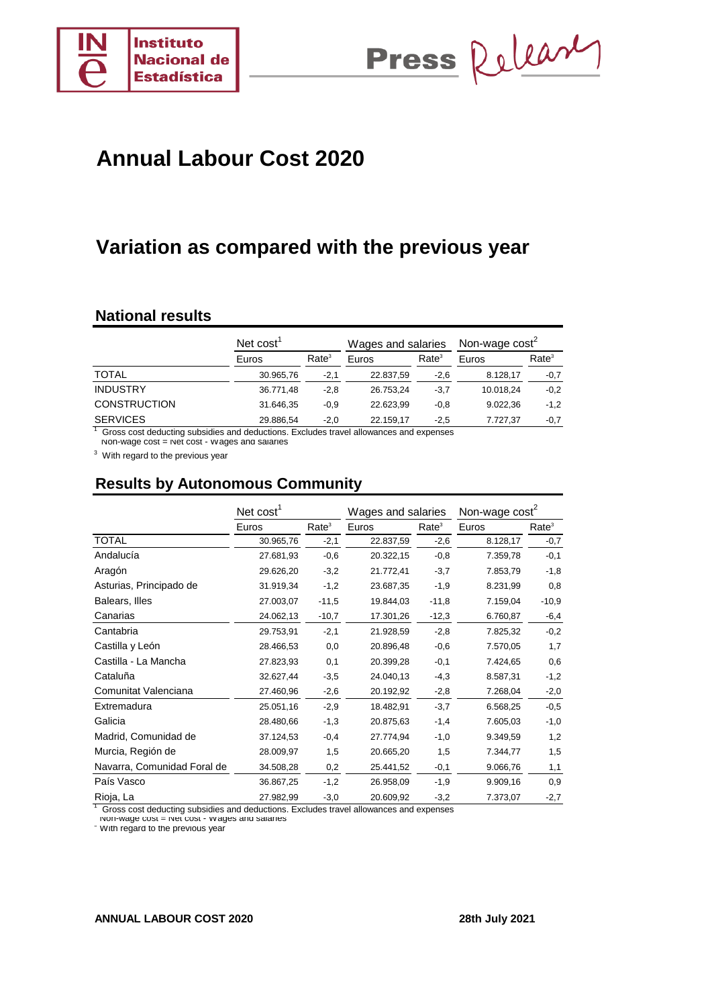

Press Release

# **Variation as compared with the previous year**

### **National results**

|                     | Net cost' |                   | Wages and salaries |                   | Non-wage $cost^2$ |                   |  |
|---------------------|-----------|-------------------|--------------------|-------------------|-------------------|-------------------|--|
|                     | Euros     | Rate <sup>3</sup> | Euros              | Rate <sup>3</sup> | Euros             | Rate <sup>3</sup> |  |
| <b>TOTAL</b>        | 30.965,76 | $-2,1$            | 22.837,59          | $-2,6$            | 8.128,17          | $-0,7$            |  |
| <b>INDUSTRY</b>     | 36.771,48 | $-2,8$            | 26.753.24          | $-3.7$            | 10.018.24         | $-0,2$            |  |
| <b>CONSTRUCTION</b> | 31.646,35 | $-0.9$            | 22.623.99          | $-0,8$            | 9.022.36          | $-1,2$            |  |
| <b>SERVICES</b>     | 29.886,54 | $-2,0$            | 22.159.17          | $-2,5$            | 7.727.37          | $-0,7$            |  |

<sup>1</sup> Gross cost deducting subsidies and deductions. Excludes travel allowances and expenses<br><sup>-</sup> Non-wage cost = Net cost - wages and salaries

 $3$  With regard to the previous year

# **Results by Autonomous Community**

|                             | Net $cost1$ |                   | Wages and salaries |                   | Non-wage cost <sup>2</sup> |                   |  |
|-----------------------------|-------------|-------------------|--------------------|-------------------|----------------------------|-------------------|--|
|                             | Euros       | Rate <sup>3</sup> | Euros              | Rate <sup>3</sup> | Euros                      | Rate <sup>3</sup> |  |
| <b>TOTAL</b>                | 30.965,76   | $-2,1$            | 22.837,59          | $-2,6$            | 8.128,17                   | $-0,7$            |  |
| Andalucía                   | 27.681,93   | $-0,6$            | 20.322,15          | $-0,8$            | 7.359,78                   | $-0,1$            |  |
| Aragón                      | 29.626,20   | $-3,2$            | 21.772,41          | $-3,7$            | 7.853,79                   | $-1,8$            |  |
| Asturias, Principado de     | 31.919,34   | $-1,2$            | 23.687,35          | $-1,9$            | 8.231,99                   | 0,8               |  |
| Balears, Illes              | 27.003,07   | $-11,5$           | 19.844,03          | $-11,8$           | 7.159,04                   | $-10,9$           |  |
| Canarias                    | 24.062,13   | $-10,7$           | 17.301,26          | $-12,3$           | 6.760,87                   | $-6,4$            |  |
| Cantabria                   | 29.753,91   | $-2,1$            | 21.928,59          | $-2,8$            | 7.825,32                   | $-0,2$            |  |
| Castilla y León             | 28.466,53   | 0,0               | 20.896,48          | $-0,6$            | 7.570,05                   | 1,7               |  |
| Castilla - La Mancha        | 27.823,93   | 0,1               | 20.399,28          | $-0,1$            | 7.424,65                   | 0,6               |  |
| Cataluña                    | 32.627,44   | $-3,5$            | 24.040,13          | $-4,3$            | 8.587,31                   | $-1,2$            |  |
| Comunitat Valenciana        | 27.460,96   | $-2,6$            | 20.192,92          | $-2,8$            | 7.268,04                   | $-2,0$            |  |
| Extremadura                 | 25.051,16   | $-2,9$            | 18.482,91          | $-3,7$            | 6.568,25                   | $-0,5$            |  |
| Galicia                     | 28.480,66   | $-1,3$            | 20.875,63          | $-1,4$            | 7.605,03                   | $-1,0$            |  |
| Madrid, Comunidad de        | 37.124,53   | $-0,4$            | 27.774,94          | $-1,0$            | 9.349,59                   | 1,2               |  |
| Murcia, Región de           | 28.009,97   | 1,5               | 20.665,20          | 1,5               | 7.344,77                   | 1,5               |  |
| Navarra, Comunidad Foral de | 34.508,28   | 0,2               | 25.441,52          | $-0,1$            | 9.066,76                   | 1,1               |  |
| País Vasco                  | 36.867,25   | $-1,2$            | 26.958,09          | $-1,9$            | 9.909,16                   | 0,9               |  |
| Rioja, La                   | 27.982,99   | $-3,0$            | 20.609,92          | $-3,2$            | 7.373,07                   | $-2,7$            |  |

<sup>1</sup> Gross cost deducting subsidies and deductions. Excludes travel allowances and expenses

Non-wage cost = Net cost - Wages and salaries

vith regard to the previous year

#### **ANNUAL LABOUR COST 2020 28th July 2021**